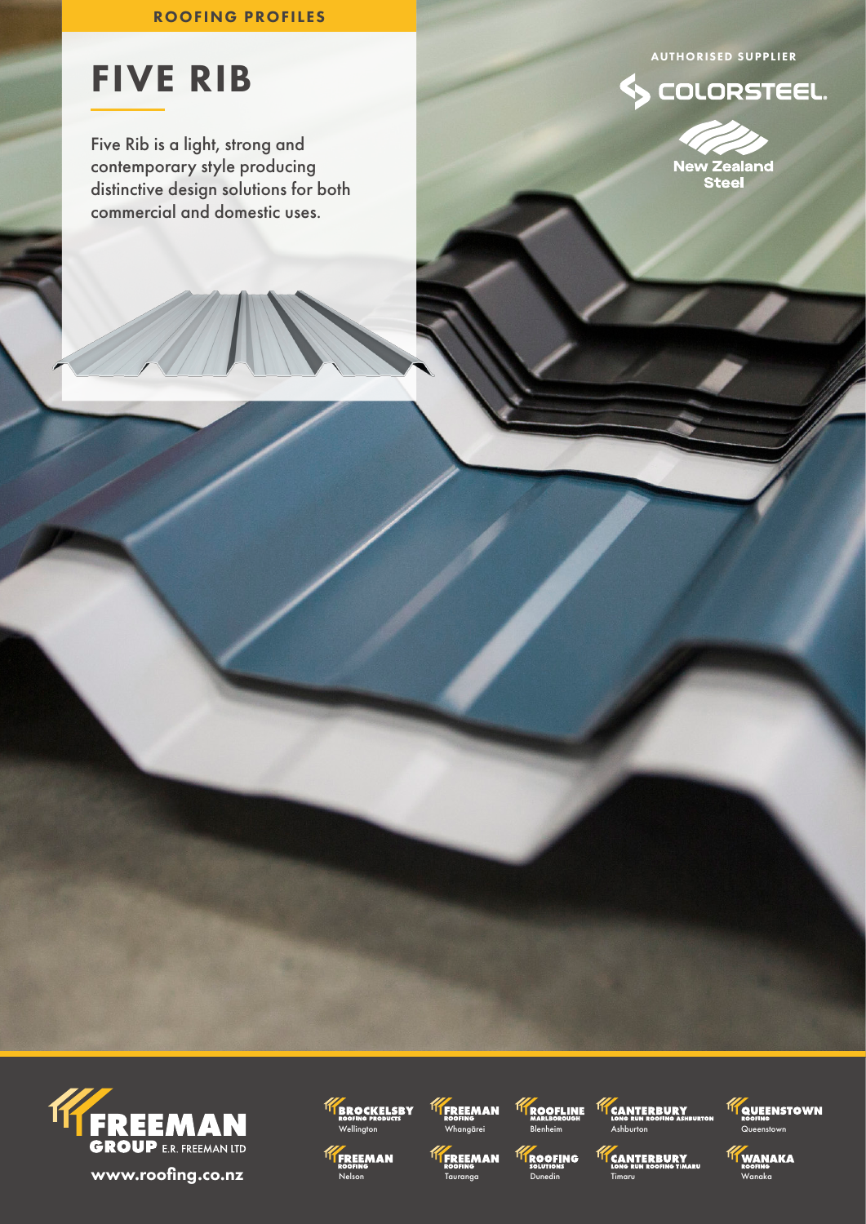# ROOFING PROFILES

# AUTHORISED SUPPLIER

COLORSTEEL.



# FIVE RIB

Five Rib is a light, strong and contemporary style producing distinctive design solutions for both commercial and domestic uses.













**TEANTERBURY** 



**TY** WANAKA